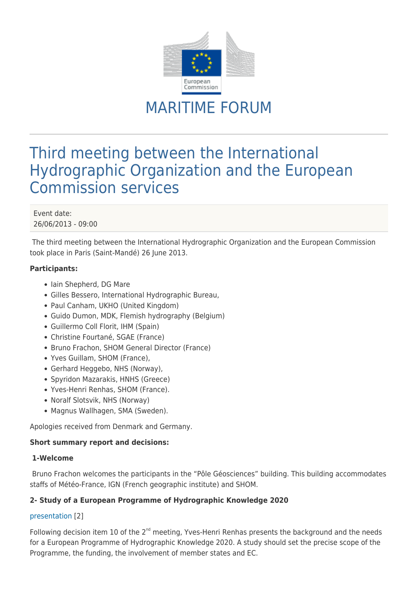

# MARITIME FORUM

# Third meeting between the International Hydrographic Organization and the European Commission services

Event date: 26/06/2013 - 09:00

The third meeting between the International Hydrographic Organization and the European Commission took place in Paris (Saint-Mandé) 26 June 2013.

# **Participants:**

- Iain Shepherd, DG Mare
- Gilles Bessero, International Hydrographic Bureau,
- Paul Canham, UKHO (United Kingdom)
- Guido Dumon, MDK, Flemish hydrography (Belgium)
- Guillermo Coll Florit, IHM (Spain)
- Christine Fourtané, SGAE (France)
- Bruno Frachon, SHOM General Director (France)
- Yves Guillam, SHOM (France),
- Gerhard Heggebo, NHS (Norway),
- Spyridon Mazarakis, HNHS (Greece)
- Yves-Henri Renhas, SHOM (France).
- Noralf Slotsvik, NHS (Norway)
- Magnus Wallhagen, SMA (Sweden).

Apologies received from Denmark and Germany.

# **Short summary report and decisions:**

# **1-Welcome**

Bruno Frachon welcomes the participants in the "Pôle Géosciences" building. This building accommodates staffs of Météo-France, IGN (French geographic institute) and SHOM.

# **2- Study of a European Programme of Hydrographic Knowledge 2020**

# [presentation](https://webgate.ec.europa.eu/maritimeforum/system/files/1%20EC%20IHO%2026%20June%202013%20%20%20EPHK2020%20v1.pdf) [2]

Following decision item 10 of the  $2^{nd}$  meeting, Yves-Henri Renhas presents the background and the needs for a European Programme of Hydrographic Knowledge 2020. A study should set the precise scope of the Programme, the funding, the involvement of member states and EC.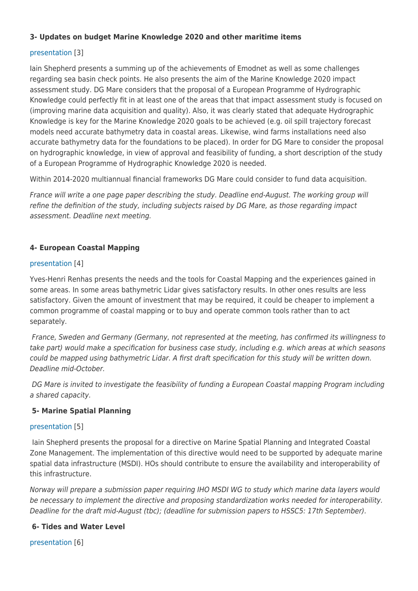# **3- Updates on budget Marine Knowledge 2020 and other maritime items**

# [presentation](https://webgate.ec.europa.eu/maritimeforum/system/files/2%20DGMare_26June2013.pdf) [3]

Iain Shepherd presents a summing up of the achievements of Emodnet as well as some challenges regarding sea basin check points. He also presents the aim of the Marine Knowledge 2020 impact assessment study. DG Mare considers that the proposal of a European Programme of Hydrographic Knowledge could perfectly fit in at least one of the areas that that impact assessment study is focused on (improving marine data acquisition and quality). Also, it was clearly stated that adequate Hydrographic Knowledge is key for the Marine Knowledge 2020 goals to be achieved (e.g. oil spill trajectory forecast models need accurate bathymetry data in coastal areas. Likewise, wind farms installations need also accurate bathymetry data for the foundations to be placed). In order for DG Mare to consider the proposal on hydrographic knowledge, in view of approval and feasibility of funding, a short description of the study of a European Programme of Hydrographic Knowledge 2020 is needed.

Within 2014-2020 multiannual financial frameworks DG Mare could consider to fund data acquisition.

France will write a one page paper describing the study. Deadline end-August. The working group will refine the definition of the study, including subjects raised by DG Mare, as those regarding impact assessment. Deadline next meeting.

# **4- European Coastal Mapping**

# [presentation](https://webgate.ec.europa.eu/maritimeforum/system/files/3%20EC%20IHO%2026%20June%202013%20%20%20coastal%20mapping.pdf) [4]

Yves-Henri Renhas presents the needs and the tools for Coastal Mapping and the experiences gained in some areas. In some areas bathymetric Lidar gives satisfactory results. In other ones results are less satisfactory. Given the amount of investment that may be required, it could be cheaper to implement a common programme of coastal mapping or to buy and operate common tools rather than to act separately.

 France, Sweden and Germany (Germany, not represented at the meeting, has confirmed its willingness to take part) would make a specification for business case study, including e.g. which areas at which seasons could be mapped using bathymetric Lidar. A first draft specification for this study will be written down. Deadline mid-October.

 DG Mare is invited to investigate the feasibility of funding a European Coastal mapping Program including a shared capacity.

# **5- Marine Spatial Planning**

# [presentation](https://webgate.ec.europa.eu/maritimeforum/system/files/4%20130324_presentation%20directive_IHO.pdf) [5]

Iain Shepherd presents the proposal for a directive on Marine Spatial Planning and Integrated Coastal Zone Management. The implementation of this directive would need to be supported by adequate marine spatial data infrastructure (MSDI). HOs should contribute to ensure the availability and interoperability of this infrastructure.

Norway will prepare a submission paper requiring IHO MSDI WG to study which marine data layers would be necessary to implement the directive and proposing standardization works needed for interoperability. Deadline for the draft mid-August (tbc); (deadline for submission papers to HSSC5: 17th September).

# **6- Tides and Water Level**

[presentation](https://webgate.ec.europa.eu/maritimeforum/system/files/5%203rd_EC-IHO-meeting_IHB_CVRF.pdf) [6]